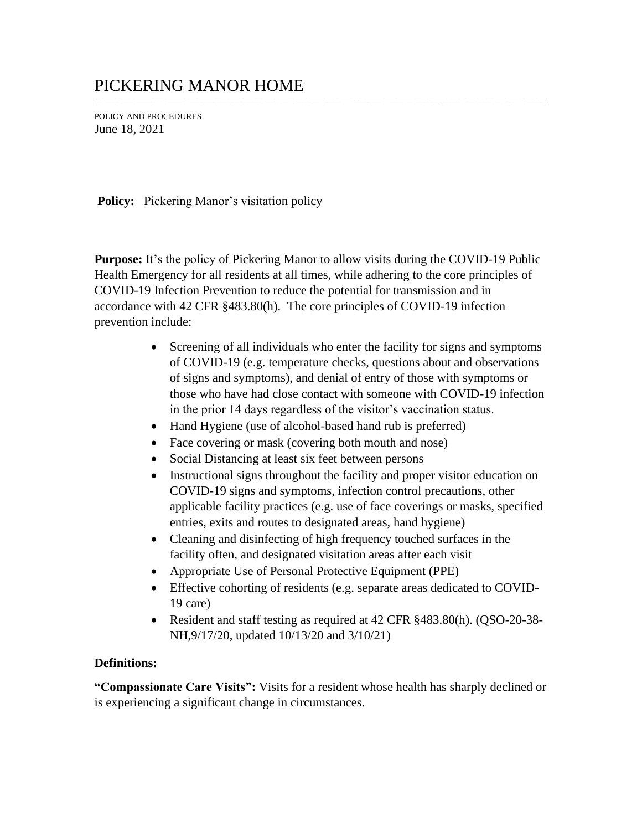## PICKERING MANOR HOME

POLICY AND PROCEDURES June 18, 2021

**Policy:** Pickering Manor's visitation policy

**Purpose:** It's the policy of Pickering Manor to allow visits during the COVID-19 Public Health Emergency for all residents at all times, while adhering to the core principles of COVID-19 Infection Prevention to reduce the potential for transmission and in accordance with 42 CFR §483.80(h). The core principles of COVID-19 infection prevention include:

\_\_\_\_\_\_\_\_\_\_\_\_\_\_\_\_\_\_\_\_\_\_\_\_\_\_\_\_\_\_\_\_\_\_\_\_\_\_\_\_\_\_\_\_\_\_\_\_\_\_\_\_\_\_\_\_\_\_\_\_\_\_\_\_\_\_\_\_\_\_\_\_\_\_\_\_\_\_\_\_\_\_\_\_\_\_\_\_\_\_\_\_\_\_\_\_\_\_\_\_\_\_\_\_\_\_\_\_\_\_\_\_\_\_\_\_\_\_\_\_\_\_\_\_\_\_\_\_\_\_\_\_\_\_\_\_\_\_\_\_\_\_\_\_\_\_\_\_\_\_\_\_\_\_\_\_\_\_\_\_\_\_\_\_\_\_\_\_\_\_\_\_\_\_\_\_\_\_\_\_\_\_\_\_\_\_\_\_\_\_\_\_\_\_\_\_\_\_\_\_\_\_\_\_\_\_\_\_\_\_\_\_\_\_\_\_ \_\_\_\_\_\_\_\_\_\_\_\_\_\_\_\_\_\_\_\_\_\_\_\_\_\_\_\_\_\_\_\_\_\_\_\_\_\_\_\_\_\_\_\_\_\_\_\_\_\_\_\_\_\_\_\_\_\_\_\_\_\_\_\_\_\_\_\_\_\_\_\_\_\_\_\_\_\_\_\_\_\_\_\_\_\_\_\_\_\_\_\_\_\_\_\_\_\_\_\_\_\_\_\_\_\_\_\_\_\_\_\_\_\_\_\_\_\_\_\_\_\_\_\_\_\_\_\_\_\_\_\_\_\_\_\_\_\_\_\_\_\_\_\_\_\_\_\_\_\_\_\_\_\_\_\_\_\_\_\_\_\_\_\_\_\_\_\_\_\_\_\_\_\_\_\_\_\_\_\_\_\_\_\_\_\_\_\_\_\_\_\_\_\_\_\_\_\_\_\_\_\_\_\_\_\_\_\_\_\_\_\_\_\_\_\_

- Screening of all individuals who enter the facility for signs and symptoms of COVID-19 (e.g. temperature checks, questions about and observations of signs and symptoms), and denial of entry of those with symptoms or those who have had close contact with someone with COVID-19 infection in the prior 14 days regardless of the visitor's vaccination status.
- Hand Hygiene (use of alcohol-based hand rub is preferred)
- Face covering or mask (covering both mouth and nose)
- Social Distancing at least six feet between persons
- Instructional signs throughout the facility and proper visitor education on COVID-19 signs and symptoms, infection control precautions, other applicable facility practices (e.g. use of face coverings or masks, specified entries, exits and routes to designated areas, hand hygiene)
- Cleaning and disinfecting of high frequency touched surfaces in the facility often, and designated visitation areas after each visit
- Appropriate Use of Personal Protective Equipment (PPE)
- Effective cohorting of residents (e.g. separate areas dedicated to COVID-19 care)
- Resident and staff testing as required at 42 CFR §483.80(h). (QSO-20-38-NH,9/17/20, updated 10/13/20 and 3/10/21)

## **Definitions:**

**"Compassionate Care Visits":** Visits for a resident whose health has sharply declined or is experiencing a significant change in circumstances.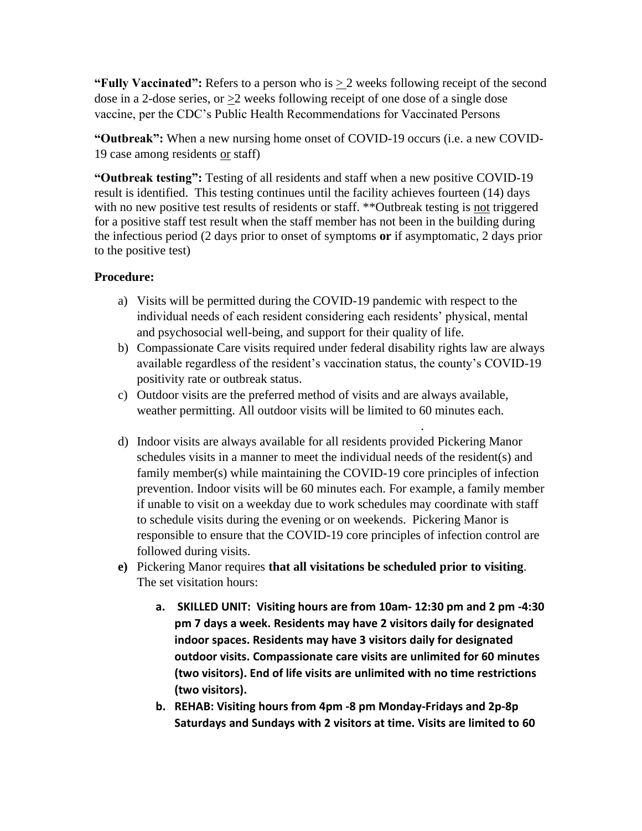**"Fully Vaccinated":** Refers to a person who is > 2 weeks following receipt of the second dose in a 2-dose series, or >2 weeks following receipt of one dose of a single dose vaccine, per the CDC's Public Health Recommendations for Vaccinated Persons

**"Outbreak":** When a new nursing home onset of COVID-19 occurs (i.e. a new COVID-19 case among residents or staff)

**"Outbreak testing":** Testing of all residents and staff when a new positive COVID-19 result is identified. This testing continues until the facility achieves fourteen (14) days with no new positive test results of residents or staff. \*\*Outbreak testing is not triggered for a positive staff test result when the staff member has not been in the building during the infectious period (2 days prior to onset of symptoms **or** if asymptomatic, 2 days prior to the positive test)

## **Procedure:**

- a) Visits will be permitted during the COVID-19 pandemic with respect to the individual needs of each resident considering each residents' physical, mental and psychosocial well-being, and support for their quality of life.
- b) Compassionate Care visits required under federal disability rights law are always available regardless of the resident's vaccination status, the county's COVID-19 positivity rate or outbreak status.
- c) Outdoor visits are the preferred method of visits and are always available, weather permitting. All outdoor visits will be limited to 60 minutes each.
- Outdoor visits will be scheduled and be 30 minutes each. d) Indoor visits are always available for all residents provided Pickering Manor schedules visits in a manner to meet the individual needs of the resident(s) and family member(s) while maintaining the COVID-19 core principles of infection prevention. Indoor visits will be 60 minutes each. For example, a family member if unable to visit on a weekday due to work schedules may coordinate with staff to schedule visits during the evening or on weekends. Pickering Manor is responsible to ensure that the COVID-19 core principles of infection control are followed during visits.
- **e)** Pickering Manor requires **that all visitations be scheduled prior to visiting**. The set visitation hours:
	- **a. SKILLED UNIT: Visiting hours are from 10am- 12:30 pm and 2 pm -4:30 pm 7 days a week. Residents may have 2 visitors daily for designated indoor spaces. Residents may have 3 visitors daily for designated outdoor visits. Compassionate care visits are unlimited for 60 minutes (two visitors). End of life visits are unlimited with no time restrictions (two visitors).**
	- **b. REHAB: Visiting hours from 4pm -8 pm Monday-Fridays and 2p-8p Saturdays and Sundays with 2 visitors at time. Visits are limited to 60**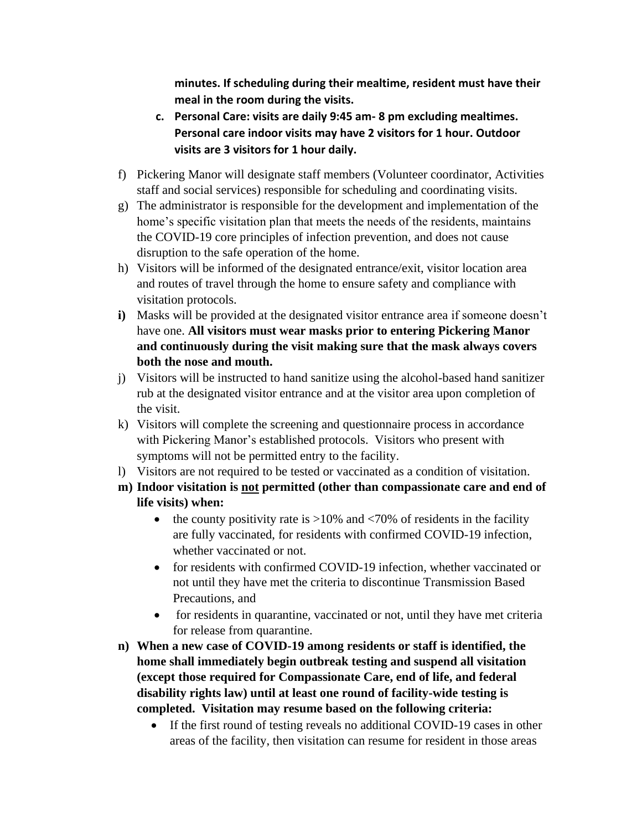**minutes. If scheduling during their mealtime, resident must have their meal in the room during the visits.**

- **c. Personal Care: visits are daily 9:45 am- 8 pm excluding mealtimes. Personal care indoor visits may have 2 visitors for 1 hour. Outdoor visits are 3 visitors for 1 hour daily.**
- f) Pickering Manor will designate staff members (Volunteer coordinator, Activities staff and social services) responsible for scheduling and coordinating visits.
- g) The administrator is responsible for the development and implementation of the home's specific visitation plan that meets the needs of the residents, maintains the COVID-19 core principles of infection prevention, and does not cause disruption to the safe operation of the home.
- h) Visitors will be informed of the designated entrance/exit, visitor location area and routes of travel through the home to ensure safety and compliance with visitation protocols.
- **i)** Masks will be provided at the designated visitor entrance area if someone doesn't have one. **All visitors must wear masks prior to entering Pickering Manor and continuously during the visit making sure that the mask always covers both the nose and mouth.**
- j) Visitors will be instructed to hand sanitize using the alcohol-based hand sanitizer rub at the designated visitor entrance and at the visitor area upon completion of the visit.
- k) Visitors will complete the screening and questionnaire process in accordance with Pickering Manor's established protocols. Visitors who present with symptoms will not be permitted entry to the facility.
- l) Visitors are not required to be tested or vaccinated as a condition of visitation.
- **m) Indoor visitation is not permitted (other than compassionate care and end of life visits) when:**
	- the county positivity rate is  $>10\%$  and  $<70\%$  of residents in the facility are fully vaccinated, for residents with confirmed COVID-19 infection, whether vaccinated or not.
	- for residents with confirmed COVID-19 infection, whether vaccinated or not until they have met the criteria to discontinue Transmission Based Precautions, and
	- for residents in quarantine, vaccinated or not, until they have met criteria for release from quarantine.
- **n) When a new case of COVID-19 among residents or staff is identified, the home shall immediately begin outbreak testing and suspend all visitation (except those required for Compassionate Care, end of life, and federal disability rights law) until at least one round of facility-wide testing is completed. Visitation may resume based on the following criteria:**
	- If the first round of testing reveals no additional COVID-19 cases in other areas of the facility, then visitation can resume for resident in those areas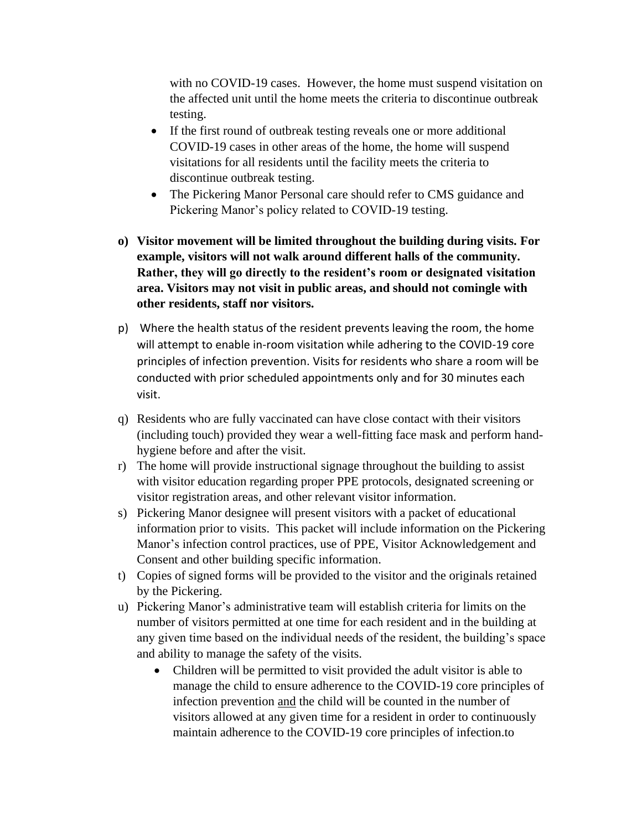with no COVID-19 cases. However, the home must suspend visitation on the affected unit until the home meets the criteria to discontinue outbreak testing.

- If the first round of outbreak testing reveals one or more additional COVID-19 cases in other areas of the home, the home will suspend visitations for all residents until the facility meets the criteria to discontinue outbreak testing.
- The Pickering Manor Personal care should refer to CMS guidance and Pickering Manor's policy related to COVID-19 testing.
- **o) Visitor movement will be limited throughout the building during visits. For example, visitors will not walk around different halls of the community. Rather, they will go directly to the resident's room or designated visitation area. Visitors may not visit in public areas, and should not comingle with other residents, staff nor visitors.**
- p) Where the health status of the resident prevents leaving the room, the home will attempt to enable in-room visitation while adhering to the COVID-19 core principles of infection prevention. Visits for residents who share a room will be conducted with prior scheduled appointments only and for 30 minutes each visit.
- q) Residents who are fully vaccinated can have close contact with their visitors (including touch) provided they wear a well-fitting face mask and perform handhygiene before and after the visit.
- r) The home will provide instructional signage throughout the building to assist with visitor education regarding proper PPE protocols, designated screening or visitor registration areas, and other relevant visitor information.
- s) Pickering Manor designee will present visitors with a packet of educational information prior to visits. This packet will include information on the Pickering Manor's infection control practices, use of PPE, Visitor Acknowledgement and Consent and other building specific information.
- t) Copies of signed forms will be provided to the visitor and the originals retained by the Pickering.
- u) Pickering Manor's administrative team will establish criteria for limits on the number of visitors permitted at one time for each resident and in the building at any given time based on the individual needs of the resident, the building's space and ability to manage the safety of the visits.
	- Children will be permitted to visit provided the adult visitor is able to manage the child to ensure adherence to the COVID-19 core principles of infection prevention and the child will be counted in the number of visitors allowed at any given time for a resident in order to continuously maintain adherence to the COVID-19 core principles of infection.to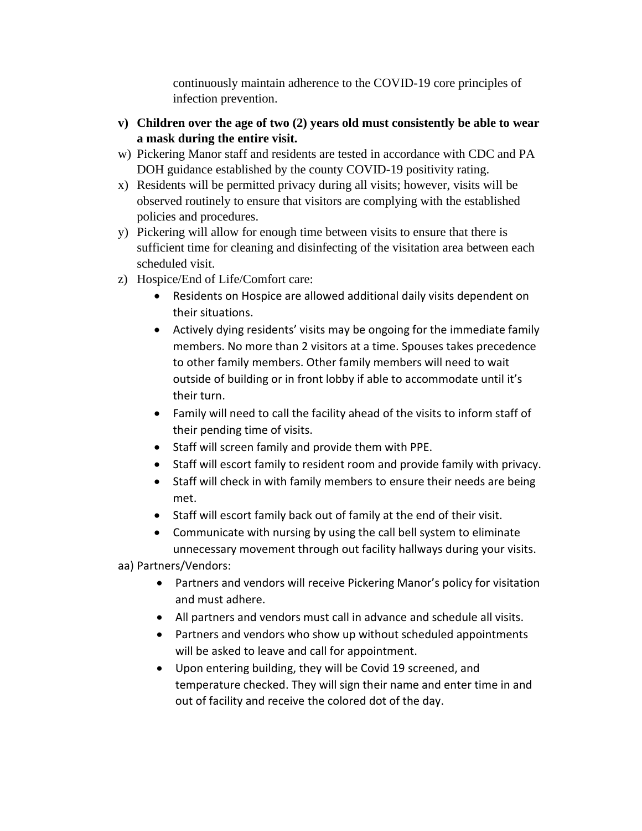continuously maintain adherence to the COVID-19 core principles of infection prevention.

- **v) Children over the age of two (2) years old must consistently be able to wear a mask during the entire visit.**
- w) Pickering Manor staff and residents are tested in accordance with CDC and PA DOH guidance established by the county COVID-19 positivity rating.
- x) Residents will be permitted privacy during all visits; however, visits will be observed routinely to ensure that visitors are complying with the established policies and procedures.
- y) Pickering will allow for enough time between visits to ensure that there is sufficient time for cleaning and disinfecting of the visitation area between each scheduled visit.
- z) Hospice/End of Life/Comfort care:
	- Residents on Hospice are allowed additional daily visits dependent on their situations.
	- Actively dying residents' visits may be ongoing for the immediate family members. No more than 2 visitors at a time. Spouses takes precedence to other family members. Other family members will need to wait outside of building or in front lobby if able to accommodate until it's their turn.
	- Family will need to call the facility ahead of the visits to inform staff of their pending time of visits.
	- Staff will screen family and provide them with PPE.
	- Staff will escort family to resident room and provide family with privacy.
	- Staff will check in with family members to ensure their needs are being met.
	- Staff will escort family back out of family at the end of their visit.
	- Communicate with nursing by using the call bell system to eliminate unnecessary movement through out facility hallways during your visits.

aa) Partners/Vendors:

- Partners and vendors will receive Pickering Manor's policy for visitation and must adhere.
- All partners and vendors must call in advance and schedule all visits.
- Partners and vendors who show up without scheduled appointments will be asked to leave and call for appointment.
- Upon entering building, they will be Covid 19 screened, and temperature checked. They will sign their name and enter time in and out of facility and receive the colored dot of the day.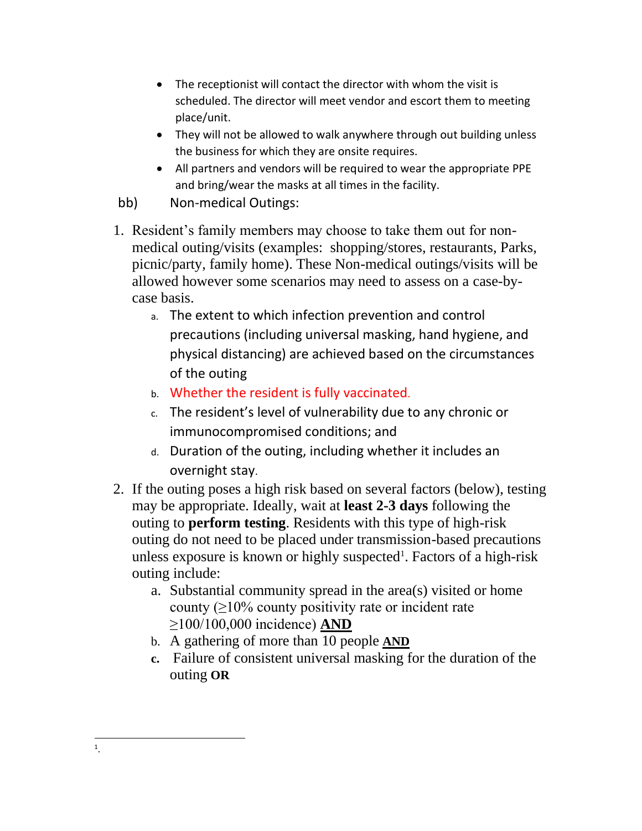- The receptionist will contact the director with whom the visit is scheduled. The director will meet vendor and escort them to meeting place/unit.
- They will not be allowed to walk anywhere through out building unless the business for which they are onsite requires.
- All partners and vendors will be required to wear the appropriate PPE and bring/wear the masks at all times in the facility.
- bb) Non-medical Outings:
- 1. Resident's family members may choose to take them out for nonmedical outing/visits (examples: shopping/stores, restaurants, Parks, picnic/party, family home). These Non-medical outings/visits will be allowed however some scenarios may need to assess on a case-bycase basis.
	- a. The extent to which infection prevention and control precautions (including universal masking, hand hygiene, and physical distancing) are achieved based on the circumstances of the outing
	- b. Whether the resident is fully vaccinated.
	- c. The resident's level of vulnerability due to any chronic or immunocompromised conditions; and
	- d. Duration of the outing, including whether it includes an overnight stay.
- 2. If the outing poses a high risk based on several factors (below), testing may be appropriate. Ideally, wait at **least 2-3 days** following the outing to **perform testing**. Residents with this type of high-risk outing do not need to be placed under transmission-based precautions unless exposure is known or highly suspected<sup>1</sup>. Factors of a high-risk outing include:
	- a. Substantial community spread in the area(s) visited or home county  $(≥10%$  county positivity rate or incident rate ≥100/100,000 incidence) **AND**
	- b. A gathering of more than 10 people **AND**
	- **c.** Failure of consistent universal masking for the duration of the outing **OR**

<sup>1</sup> .